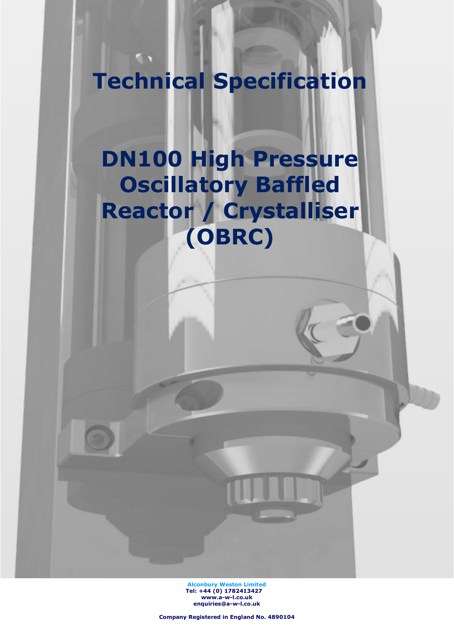**Technical Specification**

 $\sqrt{2}$ 

# **DN100 High Pressure Oscillatory Baffled Reactor / Crystalliser (OBRC)**

**Alconbury Weston Limited Tel: +44 (0) 1782413427 [www.a-w-l.co.uk](http://www.a-w-l.co.uk/) enquiries@a-w-l.co.uk**

**Company Registered in England No. 4890104**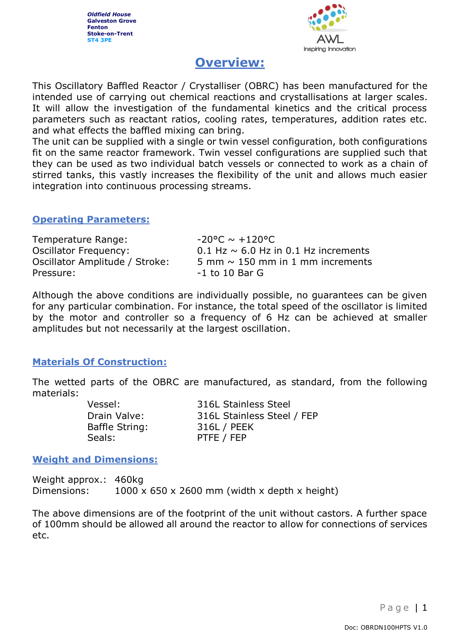

# **Overview:**

This Oscillatory Baffled Reactor / Crystalliser (OBRC) has been manufactured for the intended use of carrying out chemical reactions and crystallisations at larger scales. It will allow the investigation of the fundamental kinetics and the critical process parameters such as reactant ratios, cooling rates, temperatures, addition rates etc. and what effects the baffled mixing can bring.

The unit can be supplied with a single or twin vessel configuration, both configurations fit on the same reactor framework. Twin vessel configurations are supplied such that they can be used as two individual batch vessels or connected to work as a chain of stirred tanks, this vastly increases the flexibility of the unit and allows much easier integration into continuous processing streams.

#### **Operating Parameters:**

| Temperature Range:             | $-20^{\circ}$ C ~ $+120^{\circ}$ C .      |
|--------------------------------|-------------------------------------------|
| <b>Oscillator Frequency:</b>   | 0.1 Hz $\sim$ 6.0 Hz in 0.1 Hz increments |
| Oscillator Amplitude / Stroke: | 5 mm $\sim$ 150 mm in 1 mm increments     |
| Pressure:                      | $-1$ to 10 Bar G                          |

Although the above conditions are individually possible, no guarantees can be given for any particular combination. For instance, the total speed of the oscillator is limited by the motor and controller so a frequency of 6 Hz can be achieved at smaller amplitudes but not necessarily at the largest oscillation.

#### **Materials Of Construction:**

The wetted parts of the OBRC are manufactured, as standard, from the following materials:

> Baffle String: 316L / PEEK Seals: PTFE / FEP

Vessel: 316L Stainless Steel Drain Valve: 316L Stainless Steel / FEP

#### **Weight and Dimensions:**

Weight approx.: 460kg Dimensions:  $1000 \times 650 \times 2600$  mm (width x depth x height)

The above dimensions are of the footprint of the unit without castors. A further space of 100mm should be allowed all around the reactor to allow for connections of services etc.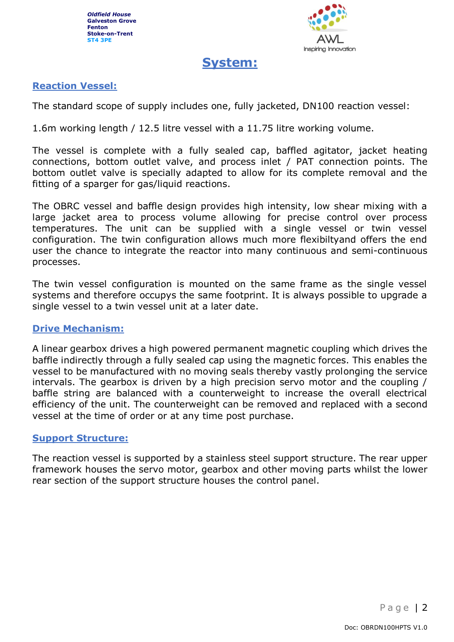

# **System:**

## **Reaction Vessel:**

The standard scope of supply includes one, fully jacketed, DN100 reaction vessel:

1.6m working length / 12.5 litre vessel with a 11.75 litre working volume.

The vessel is complete with a fully sealed cap, baffled agitator, jacket heating connections, bottom outlet valve, and process inlet / PAT connection points. The bottom outlet valve is specially adapted to allow for its complete removal and the fitting of a sparger for gas/liquid reactions.

The OBRC vessel and baffle design provides high intensity, low shear mixing with a large jacket area to process volume allowing for precise control over process temperatures. The unit can be supplied with a single vessel or twin vessel configuration. The twin configuration allows much more flexibiltyand offers the end user the chance to integrate the reactor into many continuous and semi-continuous processes.

The twin vessel configuration is mounted on the same frame as the single vessel systems and therefore occupys the same footprint. It is always possible to upgrade a single vessel to a twin vessel unit at a later date.

#### **Drive Mechanism:**

A linear gearbox drives a high powered permanent magnetic coupling which drives the baffle indirectly through a fully sealed cap using the magnetic forces. This enables the vessel to be manufactured with no moving seals thereby vastly prolonging the service intervals. The gearbox is driven by a high precision servo motor and the coupling / baffle string are balanced with a counterweight to increase the overall electrical efficiency of the unit. The counterweight can be removed and replaced with a second vessel at the time of order or at any time post purchase.

#### **Support Structure:**

The reaction vessel is supported by a stainless steel support structure. The rear upper framework houses the servo motor, gearbox and other moving parts whilst the lower rear section of the support structure houses the control panel.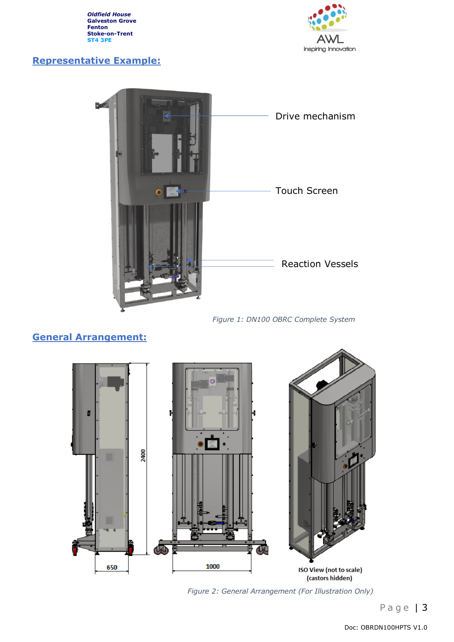

# **Representative Example:**



*Figure 1: DN100 OBRC Complete System*

# **General Arrangement:**



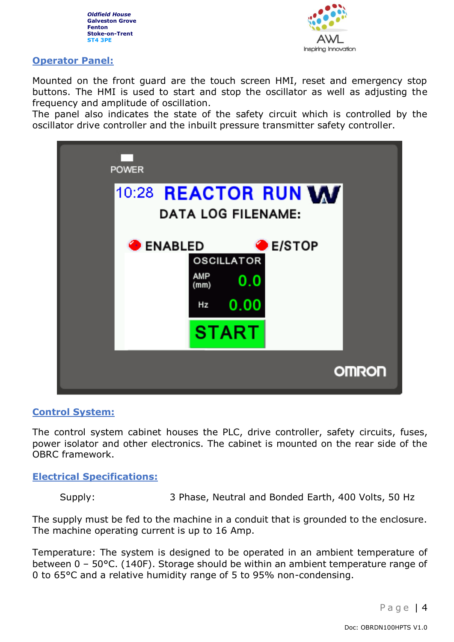



#### **Operator Panel:**

Mounted on the front guard are the touch screen HMI, reset and emergency stop buttons. The HMI is used to start and stop the oscillator as well as adjusting the frequency and amplitude of oscillation.

The panel also indicates the state of the safety circuit which is controlled by the oscillator drive controller and the inbuilt pressure transmitter safety controller.



#### **Control System:**

The control system cabinet houses the PLC, drive controller, safety circuits, fuses, power isolator and other electronics. The cabinet is mounted on the rear side of the OBRC framework.

**Electrical Specifications:** 

Supply: 3 Phase, Neutral and Bonded Earth, 400 Volts, 50 Hz

The supply must be fed to the machine in a conduit that is grounded to the enclosure. The machine operating current is up to 16 Amp.

Temperature: The system is designed to be operated in an ambient temperature of between 0 – 50°C. (140F). Storage should be within an ambient temperature range of 0 to 65°C and a relative humidity range of 5 to 95% non-condensing.